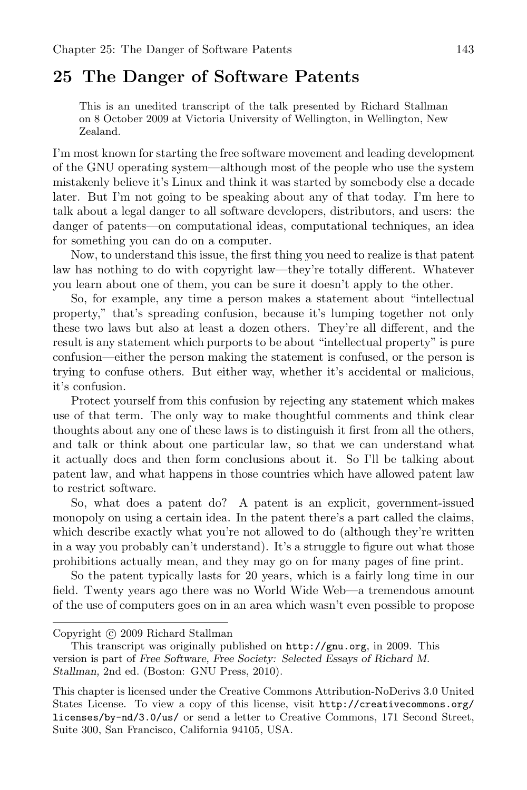## 25 The Danger of Software Patents

This is an unedited transcript of the talk presented by Richard Stallman on 8 October 2009 at Victoria University of Wellington, in Wellington, New Zealand.

I'm most known for starting the free software movement and leading development of the GNU operating system—although most of the people who use the system mistakenly believe it's Linux and think it was started by somebody else a decade later. But I'm not going to be speaking about any of that today. I'm here to talk about a legal danger to all software developers, distributors, and users: the danger of patents—on computational ideas, computational techniques, an idea for something you can do on a computer.

Now, to understand this issue, the first thing you need to realize is that patent law has nothing to do with copyright law—they're totally different. Whatever you learn about one of them, you can be sure it doesn't apply to the other.

So, for example, any time a person makes a statement about "intellectual property," that's spreading confusion, because it's lumping together not only these two laws but also at least a dozen others. They're all different, and the result is any statement which purports to be about "intellectual property" is pure confusion—either the person making the statement is confused, or the person is trying to confuse others. But either way, whether it's accidental or malicious, it's confusion.

Protect yourself from this confusion by rejecting any statement which makes use of that term. The only way to make thoughtful comments and think clear thoughts about any one of these laws is to distinguish it first from all the others, and talk or think about one particular law, so that we can understand what it actually does and then form conclusions about it. So I'll be talking about patent law, and what happens in those countries which have allowed patent law to restrict software.

So, what does a patent do? A patent is an explicit, government-issued monopoly on using a certain idea. In the patent there's a part called the claims, which describe exactly what you're not allowed to do (although they're written in a way you probably can't understand). It's a struggle to figure out what those prohibitions actually mean, and they may go on for many pages of fine print.

So the patent typically lasts for 20 years, which is a fairly long time in our field. Twenty years ago there was no World Wide Web—a tremendous amount of the use of computers goes on in an area which wasn't even possible to propose

Copyright © 2009 Richard Stallman

This transcript was originally published on <http://gnu.org>, in 2009. This version is part of *Free Software, Free Society: Selected Essays of Richard M. Stallman,* 2nd ed. (Boston: GNU Press, 2010).

This chapter is licensed under the Creative Commons Attribution-NoDerivs 3.0 United States License. To view a copy of this license, visit [http://creativecommons.org/](http://creativecommons.org/licenses/by-nd/3.0/us/) [licenses/by-nd/3.0/us/](http://creativecommons.org/licenses/by-nd/3.0/us/) or send a letter to Creative Commons, 171 Second Street, Suite 300, San Francisco, California 94105, USA.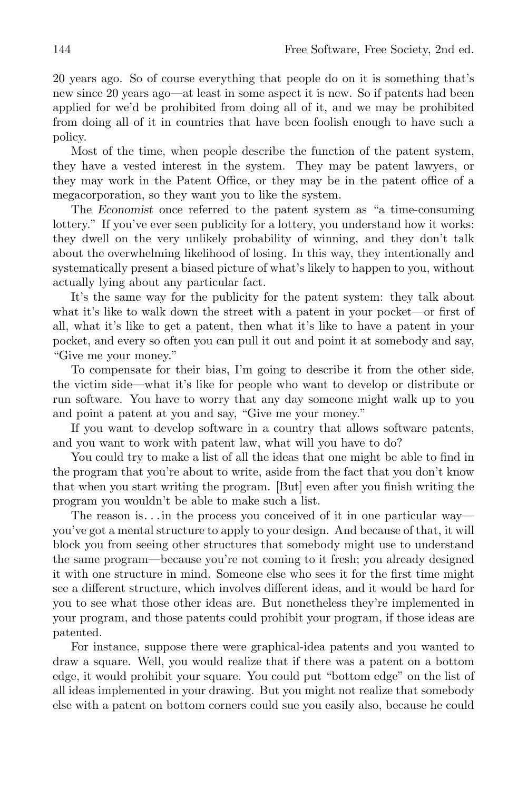20 years ago. So of course everything that people do on it is something that's new since 20 years ago—at least in some aspect it is new. So if patents had been applied for we'd be prohibited from doing all of it, and we may be prohibited from doing all of it in countries that have been foolish enough to have such a policy.

Most of the time, when people describe the function of the patent system, they have a vested interest in the system. They may be patent lawyers, or they may work in the Patent Office, or they may be in the patent office of a megacorporation, so they want you to like the system.

The *Economist* once referred to the patent system as "a time-consuming lottery." If you've ever seen publicity for a lottery, you understand how it works: they dwell on the very unlikely probability of winning, and they don't talk about the overwhelming likelihood of losing. In this way, they intentionally and systematically present a biased picture of what's likely to happen to you, without actually lying about any particular fact.

It's the same way for the publicity for the patent system: they talk about what it's like to walk down the street with a patent in your pocket—or first of all, what it's like to get a patent, then what it's like to have a patent in your pocket, and every so often you can pull it out and point it at somebody and say, "Give me your money."

To compensate for their bias, I'm going to describe it from the other side, the victim side—what it's like for people who want to develop or distribute or run software. You have to worry that any day someone might walk up to you and point a patent at you and say, "Give me your money."

If you want to develop software in a country that allows software patents, and you want to work with patent law, what will you have to do?

You could try to make a list of all the ideas that one might be able to find in the program that you're about to write, aside from the fact that you don't know that when you start writing the program. [But] even after you finish writing the program you wouldn't be able to make such a list.

The reason is. . .in the process you conceived of it in one particular way you've got a mental structure to apply to your design. And because of that, it will block you from seeing other structures that somebody might use to understand the same program—because you're not coming to it fresh; you already designed it with one structure in mind. Someone else who sees it for the first time might see a different structure, which involves different ideas, and it would be hard for you to see what those other ideas are. But nonetheless they're implemented in your program, and those patents could prohibit your program, if those ideas are patented.

For instance, suppose there were graphical-idea patents and you wanted to draw a square. Well, you would realize that if there was a patent on a bottom edge, it would prohibit your square. You could put "bottom edge" on the list of all ideas implemented in your drawing. But you might not realize that somebody else with a patent on bottom corners could sue you easily also, because he could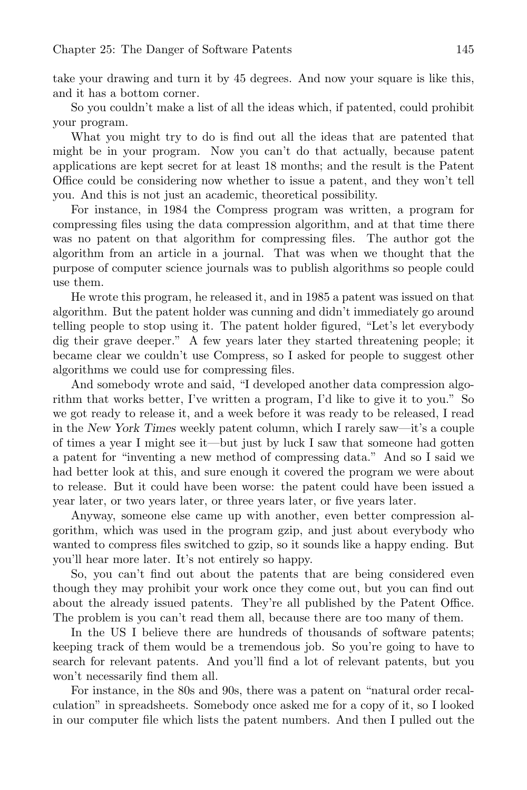take your drawing and turn it by 45 degrees. And now your square is like this, and it has a bottom corner.

So you couldn't make a list of all the ideas which, if patented, could prohibit your program.

What you might try to do is find out all the ideas that are patented that might be in your program. Now you can't do that actually, because patent applications are kept secret for at least 18 months; and the result is the Patent Office could be considering now whether to issue a patent, and they won't tell you. And this is not just an academic, theoretical possibility.

For instance, in 1984 the Compress program was written, a program for compressing files using the data compression algorithm, and at that time there was no patent on that algorithm for compressing files. The author got the algorithm from an article in a journal. That was when we thought that the purpose of computer science journals was to publish algorithms so people could use them.

He wrote this program, he released it, and in 1985 a patent was issued on that algorithm. But the patent holder was cunning and didn't immediately go around telling people to stop using it. The patent holder figured, "Let's let everybody dig their grave deeper." A few years later they started threatening people; it became clear we couldn't use Compress, so I asked for people to suggest other algorithms we could use for compressing files.

And somebody wrote and said, "I developed another data compression algorithm that works better, I've written a program, I'd like to give it to you." So we got ready to release it, and a week before it was ready to be released, I read in the *New York Times* weekly patent column, which I rarely saw—it's a couple of times a year I might see it—but just by luck I saw that someone had gotten a patent for "inventing a new method of compressing data." And so I said we had better look at this, and sure enough it covered the program we were about to release. But it could have been worse: the patent could have been issued a year later, or two years later, or three years later, or five years later.

Anyway, someone else came up with another, even better compression algorithm, which was used in the program gzip, and just about everybody who wanted to compress files switched to gzip, so it sounds like a happy ending. But you'll hear more later. It's not entirely so happy.

So, you can't find out about the patents that are being considered even though they may prohibit your work once they come out, but you can find out about the already issued patents. They're all published by the Patent Office. The problem is you can't read them all, because there are too many of them.

In the US I believe there are hundreds of thousands of software patents; keeping track of them would be a tremendous job. So you're going to have to search for relevant patents. And you'll find a lot of relevant patents, but you won't necessarily find them all.

For instance, in the 80s and 90s, there was a patent on "natural order recalculation" in spreadsheets. Somebody once asked me for a copy of it, so I looked in our computer file which lists the patent numbers. And then I pulled out the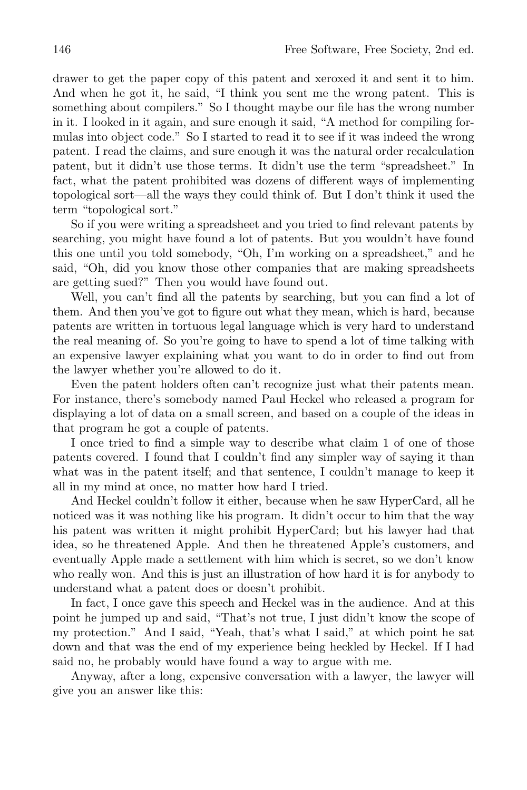drawer to get the paper copy of this patent and xeroxed it and sent it to him. And when he got it, he said, "I think you sent me the wrong patent. This is something about compilers." So I thought maybe our file has the wrong number in it. I looked in it again, and sure enough it said, "A method for compiling formulas into object code." So I started to read it to see if it was indeed the wrong patent. I read the claims, and sure enough it was the natural order recalculation patent, but it didn't use those terms. It didn't use the term "spreadsheet." In fact, what the patent prohibited was dozens of different ways of implementing topological sort—all the ways they could think of. But I don't think it used the term "topological sort."

So if you were writing a spreadsheet and you tried to find relevant patents by searching, you might have found a lot of patents. But you wouldn't have found this one until you told somebody, "Oh, I'm working on a spreadsheet," and he said, "Oh, did you know those other companies that are making spreadsheets are getting sued?" Then you would have found out.

Well, you can't find all the patents by searching, but you can find a lot of them. And then you've got to figure out what they mean, which is hard, because patents are written in tortuous legal language which is very hard to understand the real meaning of. So you're going to have to spend a lot of time talking with an expensive lawyer explaining what you want to do in order to find out from the lawyer whether you're allowed to do it.

Even the patent holders often can't recognize just what their patents mean. For instance, there's somebody named Paul Heckel who released a program for displaying a lot of data on a small screen, and based on a couple of the ideas in that program he got a couple of patents.

I once tried to find a simple way to describe what claim 1 of one of those patents covered. I found that I couldn't find any simpler way of saying it than what was in the patent itself; and that sentence, I couldn't manage to keep it all in my mind at once, no matter how hard I tried.

And Heckel couldn't follow it either, because when he saw HyperCard, all he noticed was it was nothing like his program. It didn't occur to him that the way his patent was written it might prohibit HyperCard; but his lawyer had that idea, so he threatened Apple. And then he threatened Apple's customers, and eventually Apple made a settlement with him which is secret, so we don't know who really won. And this is just an illustration of how hard it is for anybody to understand what a patent does or doesn't prohibit.

In fact, I once gave this speech and Heckel was in the audience. And at this point he jumped up and said, "That's not true, I just didn't know the scope of my protection." And I said, "Yeah, that's what I said," at which point he sat down and that was the end of my experience being heckled by Heckel. If I had said no, he probably would have found a way to argue with me.

Anyway, after a long, expensive conversation with a lawyer, the lawyer will give you an answer like this: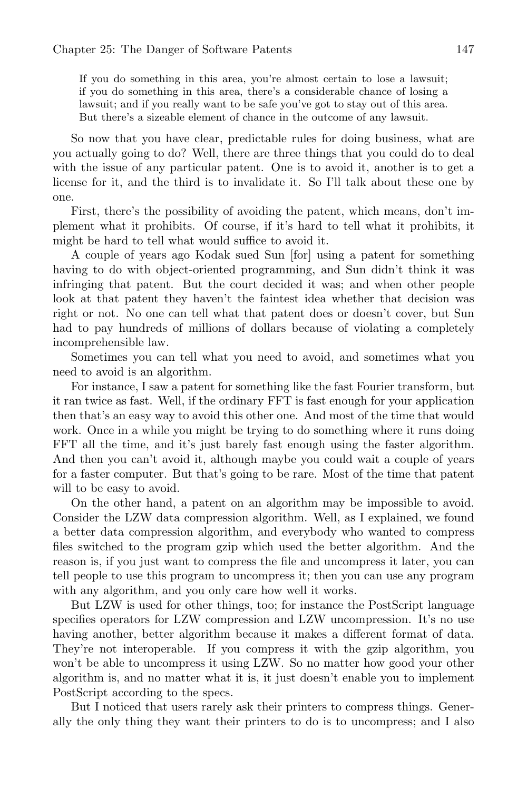If you do something in this area, you're almost certain to lose a lawsuit; if you do something in this area, there's a considerable chance of losing a lawsuit; and if you really want to be safe you've got to stay out of this area. But there's a sizeable element of chance in the outcome of any lawsuit.

So now that you have clear, predictable rules for doing business, what are you actually going to do? Well, there are three things that you could do to deal with the issue of any particular patent. One is to avoid it, another is to get a license for it, and the third is to invalidate it. So I'll talk about these one by one.

First, there's the possibility of avoiding the patent, which means, don't implement what it prohibits. Of course, if it's hard to tell what it prohibits, it might be hard to tell what would suffice to avoid it.

A couple of years ago Kodak sued Sun [for] using a patent for something having to do with object-oriented programming, and Sun didn't think it was infringing that patent. But the court decided it was; and when other people look at that patent they haven't the faintest idea whether that decision was right or not. No one can tell what that patent does or doesn't cover, but Sun had to pay hundreds of millions of dollars because of violating a completely incomprehensible law.

Sometimes you can tell what you need to avoid, and sometimes what you need to avoid is an algorithm.

For instance, I saw a patent for something like the fast Fourier transform, but it ran twice as fast. Well, if the ordinary FFT is fast enough for your application then that's an easy way to avoid this other one. And most of the time that would work. Once in a while you might be trying to do something where it runs doing FFT all the time, and it's just barely fast enough using the faster algorithm. And then you can't avoid it, although maybe you could wait a couple of years for a faster computer. But that's going to be rare. Most of the time that patent will to be easy to avoid.

On the other hand, a patent on an algorithm may be impossible to avoid. Consider the LZW data compression algorithm. Well, as I explained, we found a better data compression algorithm, and everybody who wanted to compress files switched to the program gzip which used the better algorithm. And the reason is, if you just want to compress the file and uncompress it later, you can tell people to use this program to uncompress it; then you can use any program with any algorithm, and you only care how well it works.

But LZW is used for other things, too; for instance the PostScript language specifies operators for LZW compression and LZW uncompression. It's no use having another, better algorithm because it makes a different format of data. They're not interoperable. If you compress it with the gzip algorithm, you won't be able to uncompress it using LZW. So no matter how good your other algorithm is, and no matter what it is, it just doesn't enable you to implement PostScript according to the specs.

But I noticed that users rarely ask their printers to compress things. Generally the only thing they want their printers to do is to uncompress; and I also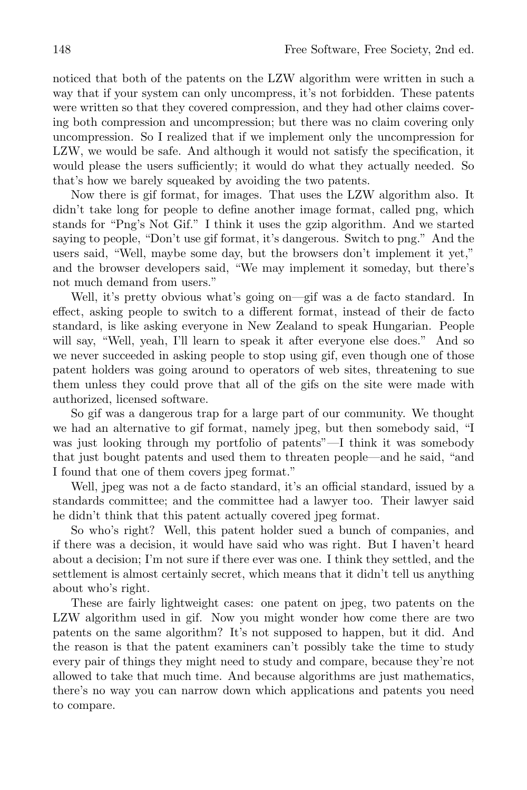noticed that both of the patents on the LZW algorithm were written in such a way that if your system can only uncompress, it's not forbidden. These patents were written so that they covered compression, and they had other claims covering both compression and uncompression; but there was no claim covering only uncompression. So I realized that if we implement only the uncompression for LZW, we would be safe. And although it would not satisfy the specification, it would please the users sufficiently; it would do what they actually needed. So that's how we barely squeaked by avoiding the two patents.

Now there is gif format, for images. That uses the LZW algorithm also. It didn't take long for people to define another image format, called png, which stands for "Png's Not Gif." I think it uses the gzip algorithm. And we started saying to people, "Don't use gif format, it's dangerous. Switch to png." And the users said, "Well, maybe some day, but the browsers don't implement it yet," and the browser developers said, "We may implement it someday, but there's not much demand from users."

Well, it's pretty obvious what's going on—gif was a de facto standard. In effect, asking people to switch to a different format, instead of their de facto standard, is like asking everyone in New Zealand to speak Hungarian. People will say, "Well, yeah, I'll learn to speak it after everyone else does." And so we never succeeded in asking people to stop using gif, even though one of those patent holders was going around to operators of web sites, threatening to sue them unless they could prove that all of the gifs on the site were made with authorized, licensed software.

So gif was a dangerous trap for a large part of our community. We thought we had an alternative to gif format, namely jpeg, but then somebody said, "I was just looking through my portfolio of patents"—I think it was somebody that just bought patents and used them to threaten people—and he said, "and I found that one of them covers jpeg format."

Well, jpeg was not a de facto standard, it's an official standard, issued by a standards committee; and the committee had a lawyer too. Their lawyer said he didn't think that this patent actually covered jpeg format.

So who's right? Well, this patent holder sued a bunch of companies, and if there was a decision, it would have said who was right. But I haven't heard about a decision; I'm not sure if there ever was one. I think they settled, and the settlement is almost certainly secret, which means that it didn't tell us anything about who's right.

These are fairly lightweight cases: one patent on jpeg, two patents on the LZW algorithm used in gif. Now you might wonder how come there are two patents on the same algorithm? It's not supposed to happen, but it did. And the reason is that the patent examiners can't possibly take the time to study every pair of things they might need to study and compare, because they're not allowed to take that much time. And because algorithms are just mathematics, there's no way you can narrow down which applications and patents you need to compare.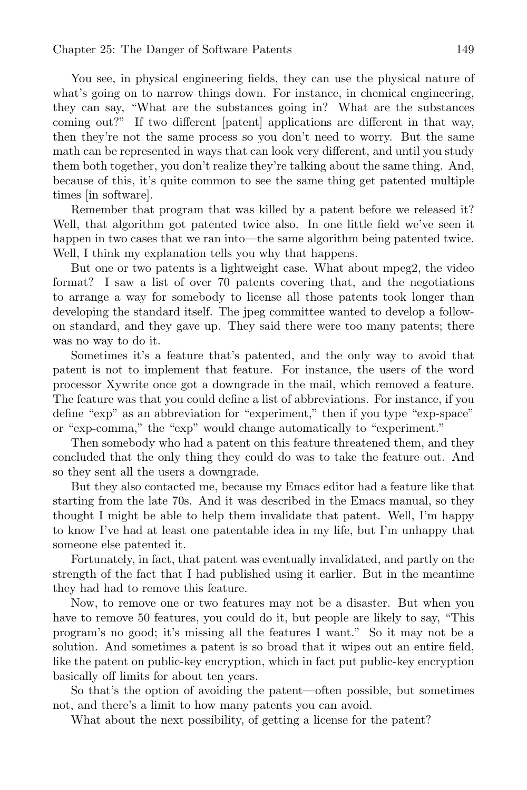You see, in physical engineering fields, they can use the physical nature of what's going on to narrow things down. For instance, in chemical engineering, they can say, "What are the substances going in? What are the substances coming out?" If two different [patent] applications are different in that way, then they're not the same process so you don't need to worry. But the same math can be represented in ways that can look very different, and until you study them both together, you don't realize they're talking about the same thing. And, because of this, it's quite common to see the same thing get patented multiple times [in software].

Remember that program that was killed by a patent before we released it? Well, that algorithm got patented twice also. In one little field we've seen it happen in two cases that we ran into—the same algorithm being patented twice. Well, I think my explanation tells you why that happens.

But one or two patents is a lightweight case. What about mpeg2, the video format? I saw a list of over 70 patents covering that, and the negotiations to arrange a way for somebody to license all those patents took longer than developing the standard itself. The jpeg committee wanted to develop a followon standard, and they gave up. They said there were too many patents; there was no way to do it.

Sometimes it's a feature that's patented, and the only way to avoid that patent is not to implement that feature. For instance, the users of the word processor Xywrite once got a downgrade in the mail, which removed a feature. The feature was that you could define a list of abbreviations. For instance, if you define "exp" as an abbreviation for "experiment," then if you type "exp-space" or "exp-comma," the "exp" would change automatically to "experiment."

Then somebody who had a patent on this feature threatened them, and they concluded that the only thing they could do was to take the feature out. And so they sent all the users a downgrade.

But they also contacted me, because my Emacs editor had a feature like that starting from the late 70s. And it was described in the Emacs manual, so they thought I might be able to help them invalidate that patent. Well, I'm happy to know I've had at least one patentable idea in my life, but I'm unhappy that someone else patented it.

Fortunately, in fact, that patent was eventually invalidated, and partly on the strength of the fact that I had published using it earlier. But in the meantime they had had to remove this feature.

Now, to remove one or two features may not be a disaster. But when you have to remove 50 features, you could do it, but people are likely to say, "This program's no good; it's missing all the features I want." So it may not be a solution. And sometimes a patent is so broad that it wipes out an entire field, like the patent on public-key encryption, which in fact put public-key encryption basically off limits for about ten years.

So that's the option of avoiding the patent—often possible, but sometimes not, and there's a limit to how many patents you can avoid.

What about the next possibility, of getting a license for the patent?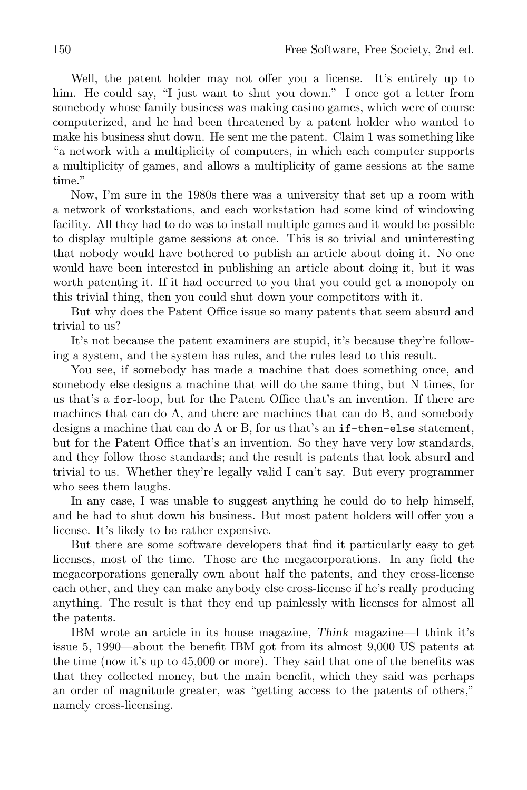Well, the patent holder may not offer you a license. It's entirely up to him. He could say, "I just want to shut you down." I once got a letter from somebody whose family business was making casino games, which were of course computerized, and he had been threatened by a patent holder who wanted to make his business shut down. He sent me the patent. Claim 1 was something like "a network with a multiplicity of computers, in which each computer supports a multiplicity of games, and allows a multiplicity of game sessions at the same time."

Now, I'm sure in the 1980s there was a university that set up a room with a network of workstations, and each workstation had some kind of windowing facility. All they had to do was to install multiple games and it would be possible to display multiple game sessions at once. This is so trivial and uninteresting that nobody would have bothered to publish an article about doing it. No one would have been interested in publishing an article about doing it, but it was worth patenting it. If it had occurred to you that you could get a monopoly on this trivial thing, then you could shut down your competitors with it.

But why does the Patent Office issue so many patents that seem absurd and trivial to us?

It's not because the patent examiners are stupid, it's because they're following a system, and the system has rules, and the rules lead to this result.

You see, if somebody has made a machine that does something once, and somebody else designs a machine that will do the same thing, but N times, for us that's a for-loop, but for the Patent Office that's an invention. If there are machines that can do A, and there are machines that can do B, and somebody designs a machine that can do A or B, for us that's an if-then-else statement, but for the Patent Office that's an invention. So they have very low standards, and they follow those standards; and the result is patents that look absurd and trivial to us. Whether they're legally valid I can't say. But every programmer who sees them laughs.

In any case, I was unable to suggest anything he could do to help himself, and he had to shut down his business. But most patent holders will offer you a license. It's likely to be rather expensive.

But there are some software developers that find it particularly easy to get licenses, most of the time. Those are the megacorporations. In any field the megacorporations generally own about half the patents, and they cross-license each other, and they can make anybody else cross-license if he's really producing anything. The result is that they end up painlessly with licenses for almost all the patents.

IBM wrote an article in its house magazine, *Think* magazine—I think it's issue 5, 1990—about the benefit IBM got from its almost 9,000 US patents at the time (now it's up to 45,000 or more). They said that one of the benefits was that they collected money, but the main benefit, which they said was perhaps an order of magnitude greater, was "getting access to the patents of others," namely cross-licensing.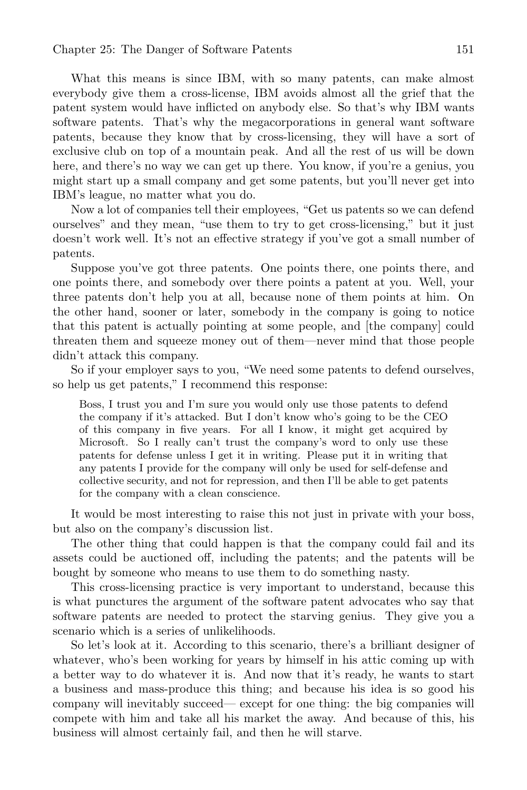What this means is since IBM, with so many patents, can make almost everybody give them a cross-license, IBM avoids almost all the grief that the patent system would have inflicted on anybody else. So that's why IBM wants software patents. That's why the megacorporations in general want software patents, because they know that by cross-licensing, they will have a sort of exclusive club on top of a mountain peak. And all the rest of us will be down here, and there's no way we can get up there. You know, if you're a genius, you might start up a small company and get some patents, but you'll never get into IBM's league, no matter what you do.

Now a lot of companies tell their employees, "Get us patents so we can defend ourselves" and they mean, "use them to try to get cross-licensing," but it just doesn't work well. It's not an effective strategy if you've got a small number of patents.

Suppose you've got three patents. One points there, one points there, and one points there, and somebody over there points a patent at you. Well, your three patents don't help you at all, because none of them points at him. On the other hand, sooner or later, somebody in the company is going to notice that this patent is actually pointing at some people, and [the company] could threaten them and squeeze money out of them—never mind that those people didn't attack this company.

So if your employer says to you, "We need some patents to defend ourselves, so help us get patents," I recommend this response:

Boss, I trust you and I'm sure you would only use those patents to defend the company if it's attacked. But I don't know who's going to be the CEO of this company in five years. For all I know, it might get acquired by Microsoft. So I really can't trust the company's word to only use these patents for defense unless I get it in writing. Please put it in writing that any patents I provide for the company will only be used for self-defense and collective security, and not for repression, and then I'll be able to get patents for the company with a clean conscience.

It would be most interesting to raise this not just in private with your boss, but also on the company's discussion list.

The other thing that could happen is that the company could fail and its assets could be auctioned off, including the patents; and the patents will be bought by someone who means to use them to do something nasty.

This cross-licensing practice is very important to understand, because this is what punctures the argument of the software patent advocates who say that software patents are needed to protect the starving genius. They give you a scenario which is a series of unlikelihoods.

So let's look at it. According to this scenario, there's a brilliant designer of whatever, who's been working for years by himself in his attic coming up with a better way to do whatever it is. And now that it's ready, he wants to start a business and mass-produce this thing; and because his idea is so good his company will inevitably succeed— except for one thing: the big companies will compete with him and take all his market the away. And because of this, his business will almost certainly fail, and then he will starve.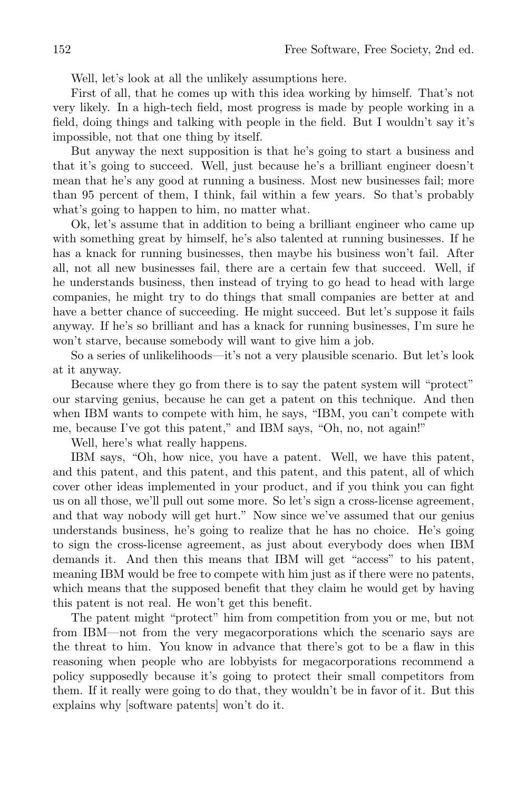Well, let's look at all the unlikely assumptions here.

First of all, that he comes up with this idea working by himself. That's not very likely. In a high-tech field, most progress is made by people working in a field, doing things and talking with people in the field. But I wouldn't say it's impossible, not that one thing by itself.

But anyway the next supposition is that he's going to start a business and that it's going to succeed. Well, just because he's a brilliant engineer doesn't mean that he's any good at running a business. Most new businesses fail; more than 95 percent of them, I think, fail within a few years. So that's probably what's going to happen to him, no matter what.

Ok, let's assume that in addition to being a brilliant engineer who came up with something great by himself, he's also talented at running businesses. If he has a knack for running businesses, then maybe his business won't fail. After all, not all new businesses fail, there are a certain few that succeed. Well, if he understands business, then instead of trying to go head to head with large companies, he might try to do things that small companies are better at and have a better chance of succeeding. He might succeed. But let's suppose it fails anyway. If he's so brilliant and has a knack for running businesses, I'm sure he won't starve, because somebody will want to give him a job.

So a series of unlikelihoods—it's not a very plausible scenario. But let's look at it anyway.

Because where they go from there is to say the patent system will "protect" our starving genius, because he can get a patent on this technique. And then when IBM wants to compete with him, he says, "IBM, you can't compete with me, because I've got this patent," and IBM says, "Oh, no, not again!"

Well, here's what really happens.

IBM says, "Oh, how nice, you have a patent. Well, we have this patent, and this patent, and this patent, and this patent, and this patent, all of which cover other ideas implemented in your product, and if you think you can fight us on all those, we'll pull out some more. So let's sign a cross-license agreement, and that way nobody will get hurt." Now since we've assumed that our genius understands business, he's going to realize that he has no choice. He's going to sign the cross-license agreement, as just about everybody does when IBM demands it. And then this means that IBM will get "access" to his patent, meaning IBM would be free to compete with him just as if there were no patents, which means that the supposed benefit that they claim he would get by having this patent is not real. He won't get this benefit.

The patent might "protect" him from competition from you or me, but not from IBM—not from the very megacorporations which the scenario says are the threat to him. You know in advance that there's got to be a flaw in this reasoning when people who are lobbyists for megacorporations recommend a policy supposedly because it's going to protect their small competitors from them. If it really were going to do that, they wouldn't be in favor of it. But this explains why [software patents] won't do it.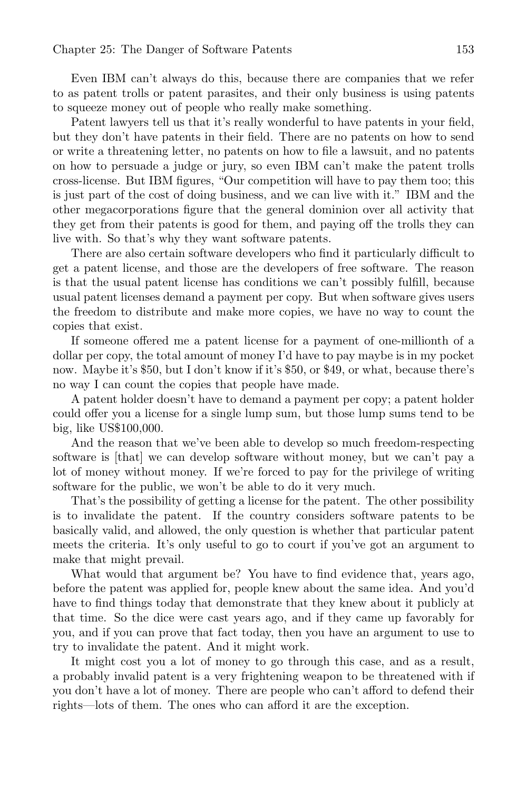Even IBM can't always do this, because there are companies that we refer to as patent trolls or patent parasites, and their only business is using patents to squeeze money out of people who really make something.

Patent lawyers tell us that it's really wonderful to have patents in your field, but they don't have patents in their field. There are no patents on how to send or write a threatening letter, no patents on how to file a lawsuit, and no patents on how to persuade a judge or jury, so even IBM can't make the patent trolls cross-license. But IBM figures, "Our competition will have to pay them too; this is just part of the cost of doing business, and we can live with it." IBM and the other megacorporations figure that the general dominion over all activity that they get from their patents is good for them, and paying off the trolls they can live with. So that's why they want software patents.

There are also certain software developers who find it particularly difficult to get a patent license, and those are the developers of free software. The reason is that the usual patent license has conditions we can't possibly fulfill, because usual patent licenses demand a payment per copy. But when software gives users the freedom to distribute and make more copies, we have no way to count the copies that exist.

If someone offered me a patent license for a payment of one-millionth of a dollar per copy, the total amount of money I'd have to pay maybe is in my pocket now. Maybe it's \$50, but I don't know if it's \$50, or \$49, or what, because there's no way I can count the copies that people have made.

A patent holder doesn't have to demand a payment per copy; a patent holder could offer you a license for a single lump sum, but those lump sums tend to be big, like US\$100,000.

And the reason that we've been able to develop so much freedom-respecting software is [that] we can develop software without money, but we can't pay a lot of money without money. If we're forced to pay for the privilege of writing software for the public, we won't be able to do it very much.

That's the possibility of getting a license for the patent. The other possibility is to invalidate the patent. If the country considers software patents to be basically valid, and allowed, the only question is whether that particular patent meets the criteria. It's only useful to go to court if you've got an argument to make that might prevail.

What would that argument be? You have to find evidence that, years ago, before the patent was applied for, people knew about the same idea. And you'd have to find things today that demonstrate that they knew about it publicly at that time. So the dice were cast years ago, and if they came up favorably for you, and if you can prove that fact today, then you have an argument to use to try to invalidate the patent. And it might work.

It might cost you a lot of money to go through this case, and as a result, a probably invalid patent is a very frightening weapon to be threatened with if you don't have a lot of money. There are people who can't afford to defend their rights—lots of them. The ones who can afford it are the exception.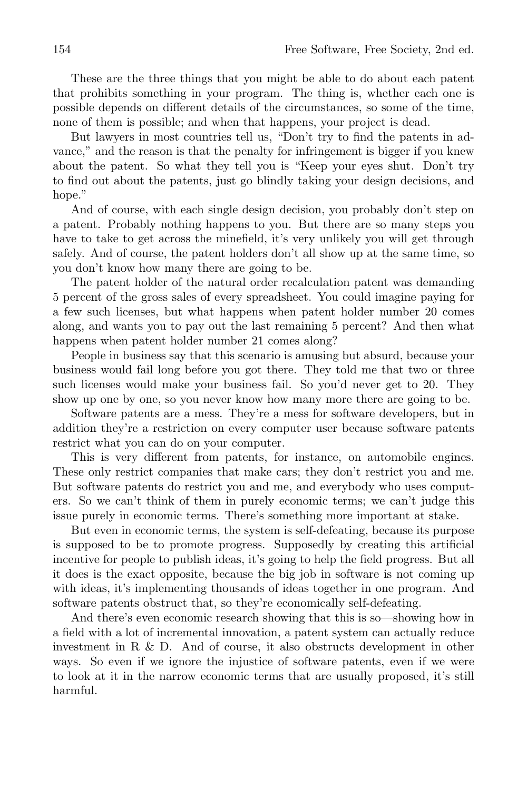These are the three things that you might be able to do about each patent that prohibits something in your program. The thing is, whether each one is possible depends on different details of the circumstances, so some of the time, none of them is possible; and when that happens, your project is dead.

But lawyers in most countries tell us, "Don't try to find the patents in advance," and the reason is that the penalty for infringement is bigger if you knew about the patent. So what they tell you is "Keep your eyes shut. Don't try to find out about the patents, just go blindly taking your design decisions, and hope."

And of course, with each single design decision, you probably don't step on a patent. Probably nothing happens to you. But there are so many steps you have to take to get across the minefield, it's very unlikely you will get through safely. And of course, the patent holders don't all show up at the same time, so you don't know how many there are going to be.

The patent holder of the natural order recalculation patent was demanding 5 percent of the gross sales of every spreadsheet. You could imagine paying for a few such licenses, but what happens when patent holder number 20 comes along, and wants you to pay out the last remaining 5 percent? And then what happens when patent holder number 21 comes along?

People in business say that this scenario is amusing but absurd, because your business would fail long before you got there. They told me that two or three such licenses would make your business fail. So you'd never get to 20. They show up one by one, so you never know how many more there are going to be.

Software patents are a mess. They're a mess for software developers, but in addition they're a restriction on every computer user because software patents restrict what you can do on your computer.

This is very different from patents, for instance, on automobile engines. These only restrict companies that make cars; they don't restrict you and me. But software patents do restrict you and me, and everybody who uses computers. So we can't think of them in purely economic terms; we can't judge this issue purely in economic terms. There's something more important at stake.

But even in economic terms, the system is self-defeating, because its purpose is supposed to be to promote progress. Supposedly by creating this artificial incentive for people to publish ideas, it's going to help the field progress. But all it does is the exact opposite, because the big job in software is not coming up with ideas, it's implementing thousands of ideas together in one program. And software patents obstruct that, so they're economically self-defeating.

And there's even economic research showing that this is so—showing how in a field with a lot of incremental innovation, a patent system can actually reduce investment in R & D. And of course, it also obstructs development in other ways. So even if we ignore the injustice of software patents, even if we were to look at it in the narrow economic terms that are usually proposed, it's still harmful.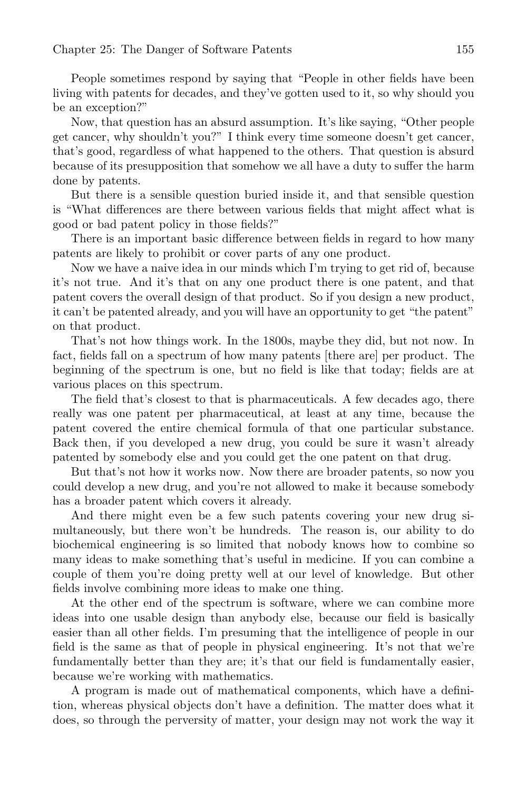People sometimes respond by saying that "People in other fields have been living with patents for decades, and they've gotten used to it, so why should you be an exception?"

Now, that question has an absurd assumption. It's like saying, "Other people get cancer, why shouldn't you?" I think every time someone doesn't get cancer, that's good, regardless of what happened to the others. That question is absurd because of its presupposition that somehow we all have a duty to suffer the harm done by patents.

But there is a sensible question buried inside it, and that sensible question is "What differences are there between various fields that might affect what is good or bad patent policy in those fields?"

There is an important basic difference between fields in regard to how many patents are likely to prohibit or cover parts of any one product.

Now we have a naive idea in our minds which I'm trying to get rid of, because it's not true. And it's that on any one product there is one patent, and that patent covers the overall design of that product. So if you design a new product, it can't be patented already, and you will have an opportunity to get "the patent" on that product.

That's not how things work. In the 1800s, maybe they did, but not now. In fact, fields fall on a spectrum of how many patents [there are] per product. The beginning of the spectrum is one, but no field is like that today; fields are at various places on this spectrum.

The field that's closest to that is pharmaceuticals. A few decades ago, there really was one patent per pharmaceutical, at least at any time, because the patent covered the entire chemical formula of that one particular substance. Back then, if you developed a new drug, you could be sure it wasn't already patented by somebody else and you could get the one patent on that drug.

But that's not how it works now. Now there are broader patents, so now you could develop a new drug, and you're not allowed to make it because somebody has a broader patent which covers it already.

And there might even be a few such patents covering your new drug simultaneously, but there won't be hundreds. The reason is, our ability to do biochemical engineering is so limited that nobody knows how to combine so many ideas to make something that's useful in medicine. If you can combine a couple of them you're doing pretty well at our level of knowledge. But other fields involve combining more ideas to make one thing.

At the other end of the spectrum is software, where we can combine more ideas into one usable design than anybody else, because our field is basically easier than all other fields. I'm presuming that the intelligence of people in our field is the same as that of people in physical engineering. It's not that we're fundamentally better than they are; it's that our field is fundamentally easier, because we're working with mathematics.

A program is made out of mathematical components, which have a definition, whereas physical objects don't have a definition. The matter does what it does, so through the perversity of matter, your design may not work the way it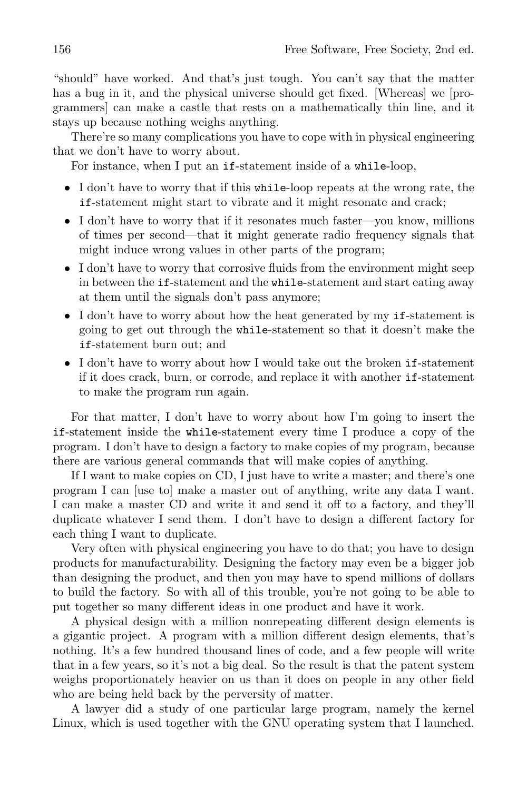"should" have worked. And that's just tough. You can't say that the matter has a bug in it, and the physical universe should get fixed. [Whereas] we [programmers] can make a castle that rests on a mathematically thin line, and it stays up because nothing weighs anything.

There're so many complications you have to cope with in physical engineering that we don't have to worry about.

For instance, when I put an if-statement inside of a while-loop,

- I don't have to worry that if this while-loop repeats at the wrong rate, the if-statement might start to vibrate and it might resonate and crack;
- *•* I don't have to worry that if it resonates much faster—you know, millions of times per second—that it might generate radio frequency signals that might induce wrong values in other parts of the program;
- I don't have to worry that corrosive fluids from the environment might seep in between the if-statement and the while-statement and start eating away at them until the signals don't pass anymore;
- I don't have to worry about how the heat generated by my if-statement is going to get out through the while-statement so that it doesn't make the if-statement burn out; and
- *•* I don't have to worry about how I would take out the broken if-statement if it does crack, burn, or corrode, and replace it with another if-statement to make the program run again.

For that matter, I don't have to worry about how I'm going to insert the if-statement inside the while-statement every time I produce a copy of the program. I don't have to design a factory to make copies of my program, because there are various general commands that will make copies of anything.

If I want to make copies on CD, I just have to write a master; and there's one program I can [use to] make a master out of anything, write any data I want. I can make a master CD and write it and send it off to a factory, and they'll duplicate whatever I send them. I don't have to design a different factory for each thing I want to duplicate.

Very often with physical engineering you have to do that; you have to design products for manufacturability. Designing the factory may even be a bigger job than designing the product, and then you may have to spend millions of dollars to build the factory. So with all of this trouble, you're not going to be able to put together so many different ideas in one product and have it work.

A physical design with a million nonrepeating different design elements is a gigantic project. A program with a million different design elements, that's nothing. It's a few hundred thousand lines of code, and a few people will write that in a few years, so it's not a big deal. So the result is that the patent system weighs proportionately heavier on us than it does on people in any other field who are being held back by the perversity of matter.

A lawyer did a study of one particular large program, namely the kernel Linux, which is used together with the GNU operating system that I launched.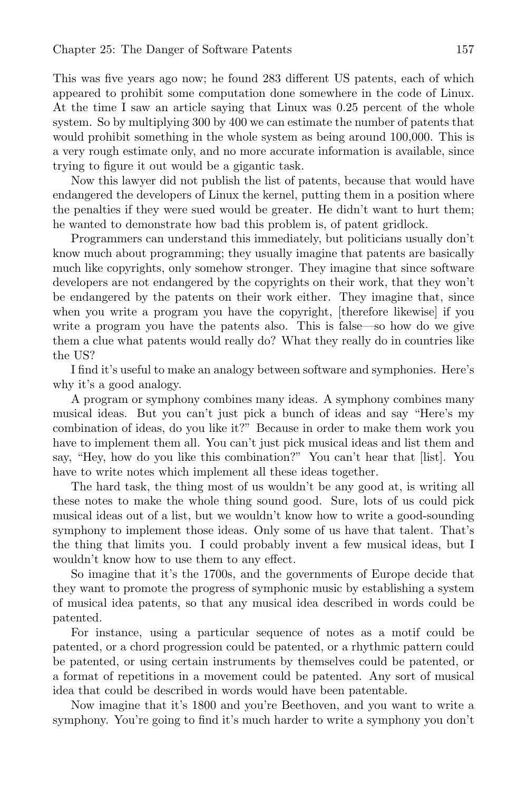This was five years ago now; he found 283 different US patents, each of which appeared to prohibit some computation done somewhere in the code of Linux. At the time I saw an article saying that Linux was 0.25 percent of the whole system. So by multiplying 300 by 400 we can estimate the number of patents that would prohibit something in the whole system as being around 100,000. This is a very rough estimate only, and no more accurate information is available, since trying to figure it out would be a gigantic task.

Now this lawyer did not publish the list of patents, because that would have endangered the developers of Linux the kernel, putting them in a position where the penalties if they were sued would be greater. He didn't want to hurt them; he wanted to demonstrate how bad this problem is, of patent gridlock.

Programmers can understand this immediately, but politicians usually don't know much about programming; they usually imagine that patents are basically much like copyrights, only somehow stronger. They imagine that since software developers are not endangered by the copyrights on their work, that they won't be endangered by the patents on their work either. They imagine that, since when you write a program you have the copyright, [therefore likewise] if you write a program you have the patents also. This is false—so how do we give them a clue what patents would really do? What they really do in countries like the US?

I find it's useful to make an analogy between software and symphonies. Here's why it's a good analogy.

A program or symphony combines many ideas. A symphony combines many musical ideas. But you can't just pick a bunch of ideas and say "Here's my combination of ideas, do you like it?" Because in order to make them work you have to implement them all. You can't just pick musical ideas and list them and say, "Hey, how do you like this combination?" You can't hear that [list]. You have to write notes which implement all these ideas together.

The hard task, the thing most of us wouldn't be any good at, is writing all these notes to make the whole thing sound good. Sure, lots of us could pick musical ideas out of a list, but we wouldn't know how to write a good-sounding symphony to implement those ideas. Only some of us have that talent. That's the thing that limits you. I could probably invent a few musical ideas, but I wouldn't know how to use them to any effect.

So imagine that it's the 1700s, and the governments of Europe decide that they want to promote the progress of symphonic music by establishing a system of musical idea patents, so that any musical idea described in words could be patented.

For instance, using a particular sequence of notes as a motif could be patented, or a chord progression could be patented, or a rhythmic pattern could be patented, or using certain instruments by themselves could be patented, or a format of repetitions in a movement could be patented. Any sort of musical idea that could be described in words would have been patentable.

Now imagine that it's 1800 and you're Beethoven, and you want to write a symphony. You're going to find it's much harder to write a symphony you don't